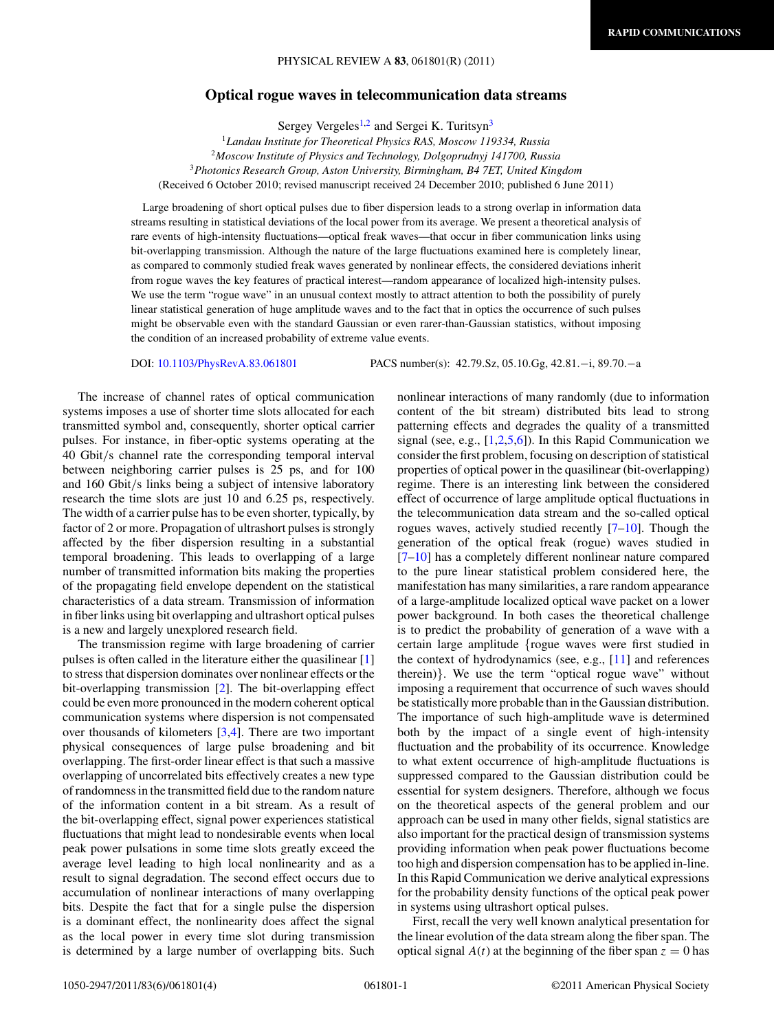## **Optical rogue waves in telecommunication data streams**

Sergey Vergeles<sup>1,2</sup> and Sergei K. Turitsyn<sup>3</sup>

*Landau Institute for Theoretical Physics RAS, Moscow 119334, Russia Moscow Institute of Physics and Technology, Dolgoprudnyj 141700, Russia Photonics Research Group, Aston University, Birmingham, B4 7ET, United Kingdom* (Received 6 October 2010; revised manuscript received 24 December 2010; published 6 June 2011)

Large broadening of short optical pulses due to fiber dispersion leads to a strong overlap in information data streams resulting in statistical deviations of the local power from its average. We present a theoretical analysis of rare events of high-intensity fluctuations—optical freak waves—that occur in fiber communication links using bit-overlapping transmission. Although the nature of the large fluctuations examined here is completely linear, as compared to commonly studied freak waves generated by nonlinear effects, the considered deviations inherit from rogue waves the key features of practical interest—random appearance of localized high-intensity pulses. We use the term "rogue wave" in an unusual context mostly to attract attention to both the possibility of purely linear statistical generation of huge amplitude waves and to the fact that in optics the occurrence of such pulses might be observable even with the standard Gaussian or even rarer-than-Gaussian statistics, without imposing the condition of an increased probability of extreme value events.

DOI: [10.1103/PhysRevA.83.061801](http://dx.doi.org/10.1103/PhysRevA.83.061801) PACS number(s): 42*.*79*.*Sz, 05*.*10*.*Gg, 42*.*81*.*−i, 89*.*70*.*−a

The increase of channel rates of optical communication systems imposes a use of shorter time slots allocated for each transmitted symbol and, consequently, shorter optical carrier pulses. For instance, in fiber-optic systems operating at the 40 Gbit*/*s channel rate the corresponding temporal interval between neighboring carrier pulses is 25 ps, and for 100 and 160 Gbit*/*s links being a subject of intensive laboratory research the time slots are just 10 and 6.25 ps, respectively. The width of a carrier pulse has to be even shorter, typically, by factor of 2 or more. Propagation of ultrashort pulses is strongly affected by the fiber dispersion resulting in a substantial temporal broadening. This leads to overlapping of a large number of transmitted information bits making the properties of the propagating field envelope dependent on the statistical characteristics of a data stream. Transmission of information in fiber links using bit overlapping and ultrashort optical pulses is a new and largely unexplored research field.

The transmission regime with large broadening of carrier pulses is often called in the literature either the quasilinear [\[1\]](#page-3-0) to stress that dispersion dominates over nonlinear effects or the bit-overlapping transmission [\[2\]](#page-3-0). The bit-overlapping effect could be even more pronounced in the modern coherent optical communication systems where dispersion is not compensated over thousands of kilometers [\[3,4\]](#page-3-0). There are two important physical consequences of large pulse broadening and bit overlapping. The first-order linear effect is that such a massive overlapping of uncorrelated bits effectively creates a new type of randomness in the transmitted field due to the random nature of the information content in a bit stream. As a result of the bit-overlapping effect, signal power experiences statistical fluctuations that might lead to nondesirable events when local peak power pulsations in some time slots greatly exceed the average level leading to high local nonlinearity and as a result to signal degradation. The second effect occurs due to accumulation of nonlinear interactions of many overlapping bits. Despite the fact that for a single pulse the dispersion is a dominant effect, the nonlinearity does affect the signal as the local power in every time slot during transmission is determined by a large number of overlapping bits. Such nonlinear interactions of many randomly (due to information content of the bit stream) distributed bits lead to strong patterning effects and degrades the quality of a transmitted signal (see, e.g.,  $[1,2,5,6]$ ). In this Rapid Communication we consider the first problem, focusing on description of statistical properties of optical power in the quasilinear (bit-overlapping) regime. There is an interesting link between the considered effect of occurrence of large amplitude optical fluctuations in the telecommunication data stream and the so-called optical rogues waves, actively studied recently [\[7–10\]](#page-3-0). Though the generation of the optical freak (rogue) waves studied in [\[7–10\]](#page-3-0) has a completely different nonlinear nature compared to the pure linear statistical problem considered here, the manifestation has many similarities, a rare random appearance of a large-amplitude localized optical wave packet on a lower power background. In both cases the theoretical challenge is to predict the probability of generation of a wave with a certain large amplitude {rogue waves were first studied in the context of hydrodynamics (see, e.g., [\[11\]](#page-3-0) and references therein)}. We use the term "optical rogue wave" without imposing a requirement that occurrence of such waves should be statistically more probable than in the Gaussian distribution. The importance of such high-amplitude wave is determined both by the impact of a single event of high-intensity fluctuation and the probability of its occurrence. Knowledge to what extent occurrence of high-amplitude fluctuations is suppressed compared to the Gaussian distribution could be essential for system designers. Therefore, although we focus on the theoretical aspects of the general problem and our approach can be used in many other fields, signal statistics are also important for the practical design of transmission systems providing information when peak power fluctuations become too high and dispersion compensation has to be applied in-line. In this Rapid Communication we derive analytical expressions for the probability density functions of the optical peak power in systems using ultrashort optical pulses.

First, recall the very well known analytical presentation for the linear evolution of the data stream along the fiber span. The optical signal  $A(t)$  at the beginning of the fiber span  $z = 0$  has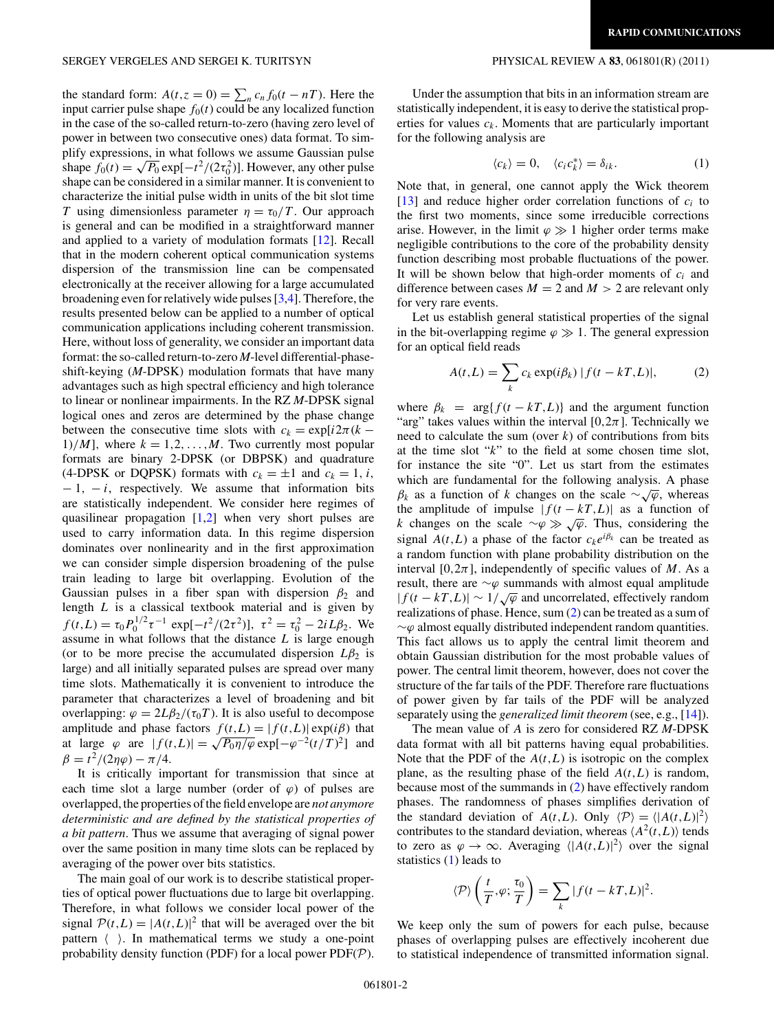<span id="page-1-0"></span>the standard form:  $A(t, z = 0) = \sum_n c_n f_0(t - nT)$ . Here the input carrier pulse shape  $f_0(t)$  could be any localized function in the case of the so-called return-to-zero (having zero level of power in between two consecutive ones) data format. To simplify expressions, in what follows we assume Gaussian pulse phiry expressions, in what follows we assume Gaussian pulse<br>shape  $f_0(t) = \sqrt{P_0} \exp[-t^2/(2\tau_0^2)]$ . However, any other pulse shape can be considered in a similar manner. It is convenient to characterize the initial pulse width in units of the bit slot time *T* using dimensionless parameter  $\eta = \tau_0/T$ . Our approach is general and can be modified in a straightforward manner and applied to a variety of modulation formats [\[12\]](#page-3-0). Recall that in the modern coherent optical communication systems dispersion of the transmission line can be compensated electronically at the receiver allowing for a large accumulated broadening even for relatively wide pulses [\[3,4\]](#page-3-0). Therefore, the results presented below can be applied to a number of optical communication applications including coherent transmission. Here, without loss of generality, we consider an important data format: the so-called return-to-zero *M*-level differential-phaseshift-keying (*M*-DPSK) modulation formats that have many advantages such as high spectral efficiency and high tolerance to linear or nonlinear impairments. In the RZ *M*-DPSK signal logical ones and zeros are determined by the phase change between the consecutive time slots with  $c_k = \exp[i2\pi(k 1$ /*M*]*,* where  $k = 1, 2, ..., M$ . Two currently most popular formats are binary 2-DPSK (or DBPSK) and quadrature (4-DPSK or DQPSK) formats with  $c_k = \pm 1$  and  $c_k = 1$ , *i*, − 1*,* − *i*, respectively. We assume that information bits are statistically independent. We consider here regimes of quasilinear propagation  $[1,2]$  when very short pulses are used to carry information data. In this regime dispersion dominates over nonlinearity and in the first approximation we can consider simple dispersion broadening of the pulse train leading to large bit overlapping. Evolution of the Gaussian pulses in a fiber span with dispersion  $\beta_2$  and length *L* is a classical textbook material and is given by  $f(t,L) = \tau_0 P_0^{1/2} \tau^{-1} \exp[-t^2/(2\tau^2)], \ \tau^2 = \tau_0^2 - 2iL\beta_2.$  We assume in what follows that the distance *L* is large enough (or to be more precise the accumulated dispersion  $L\beta_2$  is large) and all initially separated pulses are spread over many time slots. Mathematically it is convenient to introduce the parameter that characterizes a level of broadening and bit overlapping:  $\varphi = 2L\beta_2/(\tau_0T)$ . It is also useful to decompose amplitude and phase factors  $f(t,L) = |f(t,L)| \exp(i\beta)$  that amplitude and phase factors  $f(t,L) = |f(t,L)| \exp(t\rho)$  that<br>at large  $\varphi$  are  $|f(t,L)| = \sqrt{P_0 \eta/\varphi} \exp[-\varphi^{-2}(t/T)^2]$  and  $β = t^2/(2ηφ) - π/4.$ 

It is critically important for transmission that since at each time slot a large number (order of  $\varphi$ ) of pulses are overlapped, the properties of the field envelope are *not anymore deterministic and are defined by the statistical properties of a bit pattern*. Thus we assume that averaging of signal power over the same position in many time slots can be replaced by averaging of the power over bits statistics.

The main goal of our work is to describe statistical properties of optical power fluctuations due to large bit overlapping. Therefore, in what follows we consider local power of the signal  $P(t, L) = |A(t, L)|^2$  that will be averaged over the bit pattern  $\langle \rangle$ . In mathematical terms we study a one-point probability density function (PDF) for a local power  $PDF(\mathcal{P})$ .

Under the assumption that bits in an information stream are statistically independent, it is easy to derive the statistical properties for values  $c_k$ . Moments that are particularly important for the following analysis are

$$
\langle c_k \rangle = 0, \quad \langle c_i c_k^* \rangle = \delta_{ik}.
$$
 (1)

Note that, in general, one cannot apply the Wick theorem [\[13\]](#page-3-0) and reduce higher order correlation functions of  $c_i$  to the first two moments, since some irreducible corrections arise. However, in the limit  $\varphi \gg 1$  higher order terms make negligible contributions to the core of the probability density function describing most probable fluctuations of the power. It will be shown below that high-order moments of *ci* and difference between cases  $M = 2$  and  $M > 2$  are relevant only for very rare events.

Let us establish general statistical properties of the signal in the bit-overlapping regime  $\varphi \gg 1$ . The general expression for an optical field reads

$$
A(t,L) = \sum_{k} c_k \exp(i\beta_k) |f(t - kT, L)|,
$$
 (2)

where  $\beta_k = \arg\{f(t - kT, L)\}\$  and the argument function "arg" takes values within the interval  $[0,2\pi]$ . Technically we need to calculate the sum (over  $k$ ) of contributions from bits at the time slot "*k*" to the field at some chosen time slot, for instance the site "0". Let us start from the estimates which are fundamental for the following analysis. A phase *β<sub>k</sub>* as a function of *k* changes on the scale ∼√ $\varphi$ , whereas the amplitude of impulse  $|f(t - kT, L)|$  as a function of *k* changes on the scale ∼ $\varphi \gg \sqrt{\varphi}$ . Thus, considering the signal  $A(t, L)$  a phase of the factor  $c_k e^{i\beta_k}$  can be treated as a random function with plane probability distribution on the interval  $[0, 2\pi]$ , independently of specific values of *M*. As a result, there are ∼*ϕ* summands with almost equal amplitude  $|f(t - kT, L)| \sim 1/\sqrt{\varphi}$  and uncorrelated, effectively random realizations of phase. Hence, sum (2) can be treated as a sum of ∼*ϕ* almost equally distributed independent random quantities. This fact allows us to apply the central limit theorem and obtain Gaussian distribution for the most probable values of power. The central limit theorem, however, does not cover the structure of the far tails of the PDF. Therefore rare fluctuations of power given by far tails of the PDF will be analyzed separately using the *generalized limit theorem* (see, e.g., [\[14\]](#page-3-0)).

The mean value of *A* is zero for considered RZ *M*-DPSK data format with all bit patterns having equal probabilities. Note that the PDF of the  $A(t, L)$  is isotropic on the complex plane, as the resulting phase of the field  $A(t,L)$  is random, because most of the summands in (2) have effectively random phases. The randomness of phases simplifies derivation of the standard deviation of  $A(t, L)$ . Only  $\langle P \rangle = \langle |A(t, L)|^2 \rangle$ contributes to the standard deviation, whereas  $\langle A^2(t,L) \rangle$  tends to zero as  $\varphi \to \infty$ . Averaging  $\langle |A(t,L)|^2 \rangle$  over the signal statistics  $(1)$  leads to

$$
\langle \mathcal{P} \rangle \left( \frac{t}{T}, \varphi; \frac{\tau_0}{T} \right) = \sum_{k} |f(t - kT, L)|^2.
$$

We keep only the sum of powers for each pulse, because phases of overlapping pulses are effectively incoherent due to statistical independence of transmitted information signal.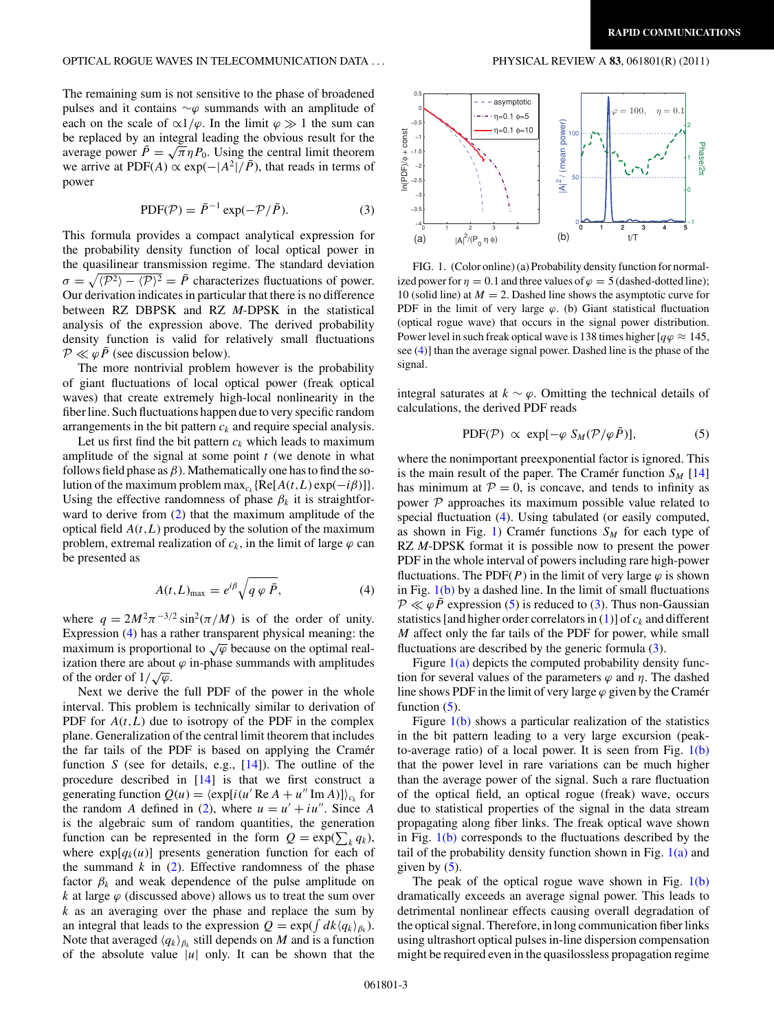## <span id="page-2-0"></span>OPTICAL ROGUE WAVES IN TELECOMMUNICATION DATA *...* PHYSICAL REVIEW A **83**, 061801(R) (2011)

The remaining sum is not sensitive to the phase of broadened pulses and it contains ∼*ϕ* summands with an amplitude of each on the scale of  $\alpha$ 1/ $\varphi$ . In the limit  $\varphi \gg 1$  the sum can be replaced by an integral leading the obvious result for the average power  $\bar{P} = \sqrt{\pi} \eta P_0$ . Using the central limit theorem we arrive at PDF(*A*)  $\propto$  exp( $-|A^2|/\bar{P}$ ), that reads in terms of power

$$
PDF(\mathcal{P}) = \bar{P}^{-1} \exp(-\mathcal{P}/\bar{P}).
$$
\n(3)

This formula provides a compact analytical expression for the probability density function of local optical power in the quasilinear transmission regime. The standard deviation  $\sigma = \sqrt{\langle P^2 \rangle - \langle P \rangle^2} = \bar{P}$  characterizes fluctuations of power. Our derivation indicates in particular that there is no difference between RZ DBPSK and RZ *M*-DPSK in the statistical analysis of the expression above. The derived probability density function is valid for relatively small fluctuations  $P \ll \varphi \bar{P}$  (see discussion below).

The more nontrivial problem however is the probability of giant fluctuations of local optical power (freak optical waves) that create extremely high-local nonlinearity in the fiber line. Such fluctuations happen due to very specific random arrangements in the bit pattern *ck* and require special analysis.

Let us first find the bit pattern  $c_k$  which leads to maximum amplitude of the signal at some point *t* (we denote in what follows field phase as  $\beta$ ). Mathematically one has to find the solution of the maximum problem  $\max_{c_k} {\{Re[A(t,L) \exp(-i\beta)]\}}$ . Using the effective randomness of phase  $\beta_k$  it is straightforward to derive from [\(2\)](#page-1-0) that the maximum amplitude of the optical field *A*(*t,L*) produced by the solution of the maximum problem, extremal realization of  $c_k$ , in the limit of large  $\varphi$  can be presented as

$$
A(t,L)_{\text{max}} = e^{i\beta} \sqrt{q \varphi \bar{P}}, \tag{4}
$$

where  $q = 2M^2 \pi^{-3/2} \sin^2(\pi/M)$  is of the order of unity. Expression (4) has a rather transparent physical meaning: the maximum is proportional to  $\sqrt{\varphi}$  because on the optimal realization there are about  $\varphi$  in-phase summands with amplitudes  $\alpha$  of the order of  $1/\sqrt{\varphi}$ .

Next we derive the full PDF of the power in the whole interval. This problem is technically similar to derivation of PDF for  $A(t, L)$  due to isotropy of the PDF in the complex plane. Generalization of the central limit theorem that includes the far tails of the PDF is based on applying the Cramer function *S* (see for details, e.g., [\[14\]](#page-3-0)). The outline of the procedure described in [\[14\]](#page-3-0) is that we first construct a generating function  $Q(u) = \langle \exp[i(u' \text{Re } A + u'' \text{Im } A)] \rangle_{c_k}$  for the random *A* defined in [\(2\)](#page-1-0), where  $u = u' + iu''$ . Since *A* is the algebraic sum of random quantities, the generation function can be represented in the form  $Q = \exp(\sum_k q_k)$ , where  $exp[q_k(u)]$  presents generation function for each of the summand  $k$  in  $(2)$ . Effective randomness of the phase factor  $\beta_k$  and weak dependence of the pulse amplitude on *k* at large  $\varphi$  (discussed above) allows us to treat the sum over *k* as an averaging over the phase and replace the sum by an integral that leads to the expression  $Q = \exp(\int dk \langle q_k \rangle_{\beta_k})$ . Note that averaged  $\langle q_k \rangle_{\beta_k}$  still depends on *M* and is a function of the absolute value  $|u|$  only. It can be shown that the



FIG. 1. (Color online) (a) Probability density function for normalized power for  $\eta = 0.1$  and three values of  $\varphi = 5$  (dashed-dotted line); 10 (solid line) at  $M = 2$ . Dashed line shows the asymptotic curve for PDF in the limit of very large *ϕ*. (b) Giant statistical fluctuation (optical rogue wave) that occurs in the signal power distribution. Power level in such freak optical wave is 138 times higher [ $q\varphi \approx 145$ , see (4)] than the average signal power. Dashed line is the phase of the signal.

integral saturates at  $k \sim \varphi$ . Omitting the technical details of calculations, the derived PDF reads

$$
PDF(\mathcal{P}) \propto \exp[-\varphi \ S_M(\mathcal{P}/\varphi \bar{P})], \tag{5}
$$

where the nonimportant preexponential factor is ignored. This is the main result of the paper. The Cramer function  $S_M$  [\[14\]](#page-3-0) has minimum at  $P = 0$ , is concave, and tends to infinity as power  $P$  approaches its maximum possible value related to special fluctuation (4). Using tabulated (or easily computed, as shown in Fig. 1) Cramer functions  $S_M$  for each type of RZ *M*-DPSK format it is possible now to present the power PDF in the whole interval of powers including rare high-power fluctuations. The PDF( $P$ ) in the limit of very large  $\varphi$  is shown in Fig.  $1(b)$  by a dashed line. In the limit of small fluctuations  $P \ll \varphi \bar{P}$  expression (5) is reduced to (3). Thus non-Gaussian statistics [and higher order correlators in  $(1)$ ] of  $c_k$  and different *M* affect only the far tails of the PDF for power, while small fluctuations are described by the generic formula  $(3)$ .

Figure  $1(a)$  depicts the computed probability density function for several values of the parameters  $\varphi$  and  $\eta$ . The dashed line shows PDF in the limit of very large  $\varphi$  given by the Cramer function  $(5)$ .

Figure 1(b) shows a particular realization of the statistics in the bit pattern leading to a very large excursion (peakto-average ratio) of a local power. It is seen from Fig.  $1(b)$ that the power level in rare variations can be much higher than the average power of the signal. Such a rare fluctuation of the optical field, an optical rogue (freak) wave, occurs due to statistical properties of the signal in the data stream propagating along fiber links. The freak optical wave shown in Fig.  $1(b)$  corresponds to the fluctuations described by the tail of the probability density function shown in Fig.  $1(a)$  and given by  $(5)$ .

The peak of the optical rogue wave shown in Fig.  $1(b)$ dramatically exceeds an average signal power. This leads to detrimental nonlinear effects causing overall degradation of the optical signal. Therefore, in long communication fiber links using ultrashort optical pulses in-line dispersion compensation might be required even in the quasilossless propagation regime